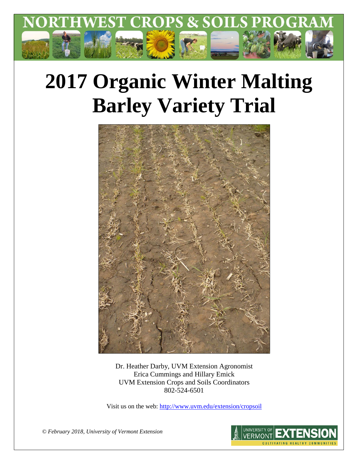

# **2017 Organic Winter Malting Barley Variety Trial**



Dr. Heather Darby, UVM Extension Agronomist Erica Cummings and Hillary Emick UVM Extension Crops and Soils Coordinators 802-524-6501

Visit us on the web:<http://www.uvm.edu/extension/cropsoil>

*© February 2018, University of Vermont Extension*

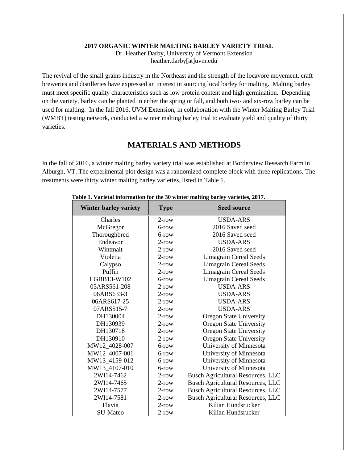#### **2017 ORGANIC WINTER MALTING BARLEY VARIETY TRIAL**

Dr. Heather Darby, University of Vermont Extension heather.darby[at]uvm.edu

The revival of the small grains industry in the Northeast and the strength of the locavore movement, craft breweries and distilleries have expressed an interest in sourcing local barley for malting. Malting barley must meet specific quality characteristics such as low protein content and high germination. Depending on the variety, barley can be planted in either the spring or fall, and both two- and six-row barley can be used for malting. In the fall 2016, UVM Extension, in collaboration with the Winter Malting Barley Trial (WMBT) testing network, conducted a winter malting barley trial to evaluate yield and quality of thirty varieties.

## **MATERIALS AND METHODS**

In the fall of 2016, a winter malting barley variety trial was established at Borderview Research Farm in Alburgh, VT. The experimental plot design was a randomized complete block with three replications. The treatments were thirty winter malting barley varieties, listed in Table 1.

| <b>Winter barley variety</b> | <b>Type</b> | <b>Seed source</b>                       |  |
|------------------------------|-------------|------------------------------------------|--|
| Charles                      | $2$ -row    | <b>USDA-ARS</b>                          |  |
| McGregor                     | $6$ -row    | 2016 Saved seed                          |  |
| Thoroughbred                 | $6$ -row    | 2016 Saved seed                          |  |
| Endeavor                     | $2$ -row    | USDA-ARS                                 |  |
| Wintmalt                     | $2$ -row    | 2016 Saved seed                          |  |
| Violetta                     | $2$ -row    | <b>Limagrain Cereal Seeds</b>            |  |
| Calypso                      | $2$ -row    | <b>Limagrain Cereal Seeds</b>            |  |
| Puffin                       | $2$ -row    | <b>Limagrain Cereal Seeds</b>            |  |
| LGBB13-W102                  | $6$ -row    | <b>Limagrain Cereal Seeds</b>            |  |
| 05ARS561-208                 | $2$ -row    | <b>USDA-ARS</b>                          |  |
| 06ARS633-3                   | $2$ -row    | <b>USDA-ARS</b>                          |  |
| 06ARS617-25                  | $2$ -row    | <b>USDA-ARS</b>                          |  |
| 07ARS515-7                   | $2$ -row    | <b>USDA-ARS</b>                          |  |
| DH130004                     | $2$ -row    | <b>Oregon State University</b>           |  |
| DH130939                     | $2$ -row    | <b>Oregon State University</b>           |  |
| DH130718                     | $2$ -row    | Oregon State University                  |  |
| DH130910                     | $2$ -row    | Oregon State University                  |  |
| MW12 4028-007                | $6$ -row    | University of Minnesota                  |  |
| MW12 4007-001                | $6$ -row    | University of Minnesota                  |  |
| MW13_4159-012                | $6$ -row    | University of Minnesota                  |  |
| MW13 4107-010                | $6$ -row    | University of Minnesota                  |  |
| 2WI14-7462                   | $2$ -row    | <b>Busch Agricultural Resources, LLC</b> |  |
| 2WI14-7465                   | $2$ -row    | <b>Busch Agricultural Resources, LLC</b> |  |
| 2WI14-7577                   | $2$ -row    | <b>Busch Agricultural Resources, LLC</b> |  |
| 2WI14-7581                   | $2$ -row    | <b>Busch Agricultural Resources, LLC</b> |  |
| Flavia                       | $2$ -row    | Kilian Hundsrucker                       |  |
| SU-Mateo                     | $2$ -row    | Kilian Hundsrucker                       |  |

#### **Table 1. Varietal information for the 30 winter malting barley varieties, 2017.**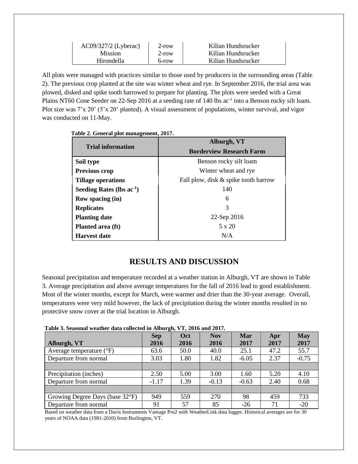| AC09/327/2 (Lyberac) | $2$ -row | Kilian Hundsrucker |
|----------------------|----------|--------------------|
| <b>Mission</b>       | $2$ -row | Kilian Hundsrucker |
| Hirondella           | 6-row    | Kilian Hundsrucker |

All plots were managed with practices similar to those used by producers in the surrounding areas (Table 2). The previous crop planted at the site was winter wheat and rye. In September 2016, the trial area was plowed, disked and spike tooth harrowed to prepare for planting. The plots were seeded with a Great Plains NT60 Cone Seeder on 22-Sep 2016 at a seeding rate of 140 lbs ac<sup>-1</sup> into a Benson rocky silt loam. Plot size was 7'x 20' (5'x 20' planted). A visual assessment of populations, winter survival, and vigor was conducted on 11-May.

|  | Table 2. General plot management, 2017. |
|--|-----------------------------------------|
|--|-----------------------------------------|

|                                | Alburgh, VT                          |  |  |
|--------------------------------|--------------------------------------|--|--|
| <b>Trial information</b>       | <b>Borderview Research Farm</b>      |  |  |
| Soil type                      | Benson rocky silt loam               |  |  |
| <b>Previous crop</b>           | Winter wheat and rye.                |  |  |
| <b>Tillage operations</b>      | Fall plow, disk & spike tooth harrow |  |  |
| Seeding Rates (lbs $ac^{-1}$ ) | 140                                  |  |  |
| Row spacing (in)               | 6                                    |  |  |
| <b>Replicates</b>              | 3                                    |  |  |
| <b>Planting date</b>           | 22-Sep 2016                          |  |  |
| Planted area (ft)              | $5 \times 20$                        |  |  |
| <b>Harvest date</b>            | N/A                                  |  |  |

# **RESULTS AND DISCUSSION**

Seasonal precipitation and temperature recorded at a weather station in Alburgh, VT are shown in Table 3. Average precipitation and above average temperatures for the fall of 2016 lead to good establishment. Most of the winter months, except for March, were warmer and drier than the 30-year average. Overall, temperatures were very mild however, the lack of precipitation during the winter months resulted in no protective snow cover at the trial location in Alburgh.

| Tubic of beusonal weather data concercu in Anourghy y 14 2010 and 2017; |                    |                    |                    |             |             |                    |
|-------------------------------------------------------------------------|--------------------|--------------------|--------------------|-------------|-------------|--------------------|
| Alburgh, VT                                                             | <b>Sep</b><br>2016 | <b>Oct</b><br>2016 | <b>Nov</b><br>2016 | Mar<br>2017 | Apr<br>2017 | <b>May</b><br>2017 |
| Average temperature $(^{\circ}F)$                                       | 63.6               | 50.0               | 40.0               | 25.1        | 47.2        | 55.7               |
| Departure from normal                                                   | 3.03               | 1.80               | 1.82               | $-6.05$     | 2.37        | $-0.75$            |
|                                                                         |                    |                    |                    |             |             |                    |
| Precipitation (inches)                                                  | 2.50               | 5.00               | 3.00               | 1.60        | 5.20        | 4.10               |
| Departure from normal                                                   | $-1.17$            | 1.39               | $-0.13$            | $-0.63$     | 2.40        | 0.68               |
|                                                                         |                    |                    |                    |             |             |                    |
| Growing Degree Days (base 32°F)                                         | 949                | 559                | 270                | 98          | 459         | 733                |
| Departure from normal                                                   | 91                 | 57                 | 85                 | $-26$       | 71          | $-20$              |

**Table 3. Seasonal weather data collected in Alburgh, VT, 2016 and 2017.**

Based on weather data from a Davis Instruments Vantage Pro2 with WeatherLink data logger. Historical averages are for 30 years of NOAA data (1981-2010) from Burlington, VT.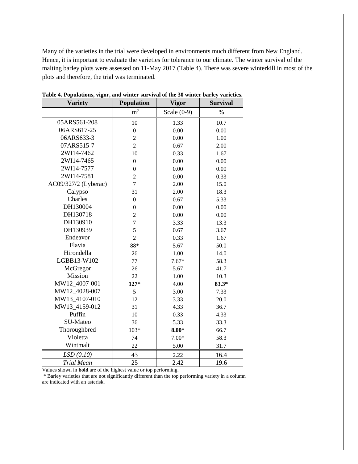Many of the varieties in the trial were developed in environments much different from New England. Hence, it is important to evaluate the varieties for tolerance to our climate. The winter survival of the malting barley plots were assessed on 11-May 2017 (Table 4). There was severe winterkill in most of the plots and therefore, the trial was terminated.

| <b>Variety</b>       | Population       | <b>Vigor</b>  | <b>Survival</b> |  |
|----------------------|------------------|---------------|-----------------|--|
|                      | m <sup>2</sup>   | Scale $(0-9)$ | $\%$            |  |
| 05ARS561-208         | 10               | 1.33          | 10.7            |  |
| 06ARS617-25          | $\overline{0}$   | 0.00          | 0.00            |  |
| 06ARS633-3           | $\overline{c}$   | 0.00          | 1.00            |  |
| 07ARS515-7           | $\overline{2}$   | 0.67          | 2.00            |  |
| 2WI14-7462           | 10               | 0.33          | 1.67            |  |
| 2WI14-7465           | $\overline{0}$   | 0.00          | 0.00            |  |
| 2WI14-7577           | $\boldsymbol{0}$ | 0.00          | 0.00            |  |
| 2WI14-7581           | $\overline{c}$   | 0.00          | 0.33            |  |
| AC09/327/2 (Lyberac) | $\overline{7}$   | 2.00          | 15.0            |  |
| Calypso              | 31               | 2.00          | 18.3            |  |
| Charles              | $\boldsymbol{0}$ | 0.67          | 5.33            |  |
| DH130004             | $\boldsymbol{0}$ | 0.00          | 0.00            |  |
| DH130718             | $\overline{c}$   | 0.00          | 0.00            |  |
| DH130910             | $\overline{7}$   | 3.33          | 13.3            |  |
| DH130939             | 5                | 0.67          | 3.67            |  |
| Endeavor             | $\overline{2}$   | 0.33          | 1.67            |  |
| Flavia               | 88*              | 5.67          | 50.0            |  |
| Hirondella           | 26               | 1.00          | 14.0            |  |
| LGBB13-W102          | 77               | $7.67*$       | 58.3            |  |
| McGregor             | 26               | 5.67          | 41.7            |  |
| Mission              | 22               | 1.00          | 10.3            |  |
| MW12_4007-001        | $127*$           | 4.00          | $83.3*$         |  |
| MW12 4028-007        | 5                | 3.00          | 7.33            |  |
| MW13_4107-010        | 12               | 3.33          | 20.0            |  |
| MW13_4159-012        | 31               | 4.33          | 36.7            |  |
| Puffin               | 10               | 0.33          | 4.33            |  |
| SU-Mateo             | 36               | 5.33          | 33.3            |  |
| Thoroughbred         | $103*$           | $8.00*$       | 66.7            |  |
| Violetta             | 74               | $7.00*$       | 58.3            |  |
| Wintmalt             | 22               | 5.00          | 31.7            |  |
| LSD(0.10)            | 43               | 2.22          | 16.4            |  |
| <b>Trial Mean</b>    | 25               | 2.42          | 19.6            |  |

**Table 4. Populations, vigor, and winter survival of the 30 winter barley varieties.**

Values shown in **bold** are of the highest value or top performing.

\* Barley varieties that are not significantly different than the top performing variety in a column are indicated with an asterisk.